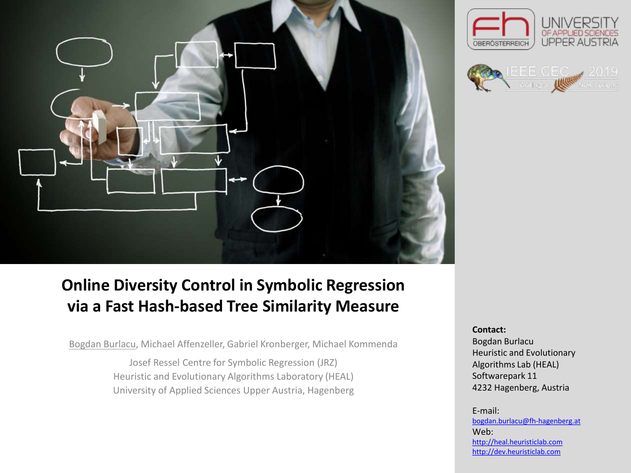

## **Online Diversity Control in Symbolic Regression via a Fast Hash-based Tree Similarity Measure**

Bogdan Burlacu, Michael Affenzeller, Gabriel Kronberger, Michael Kommenda

Josef Ressel Centre for Symbolic Regression (JRZ) Heuristic and Evolutionary Algorithms Laboratory (HEAL) University of Applied Sciences Upper Austria, Hagenberg

#### **Contact:**

OBERÖSTERREICH

Bogdan Burlacu Heuristic and Evolutionary Algorithms Lab (HEAL) Softwarepark 11 4232 Hagenberg, Austria

**UPPER AUSTRIA** 

#### E-mail: [bogdan.burlacu@fh-hagenberg.at](mailto:bogdan.burlacu@fh-hagenberg.at) Web: [http://heal.heuristiclab.com](http://heal.heuristiclab.com/) [http://dev.heuristiclab.com](http://dev.heuristiclab.com/)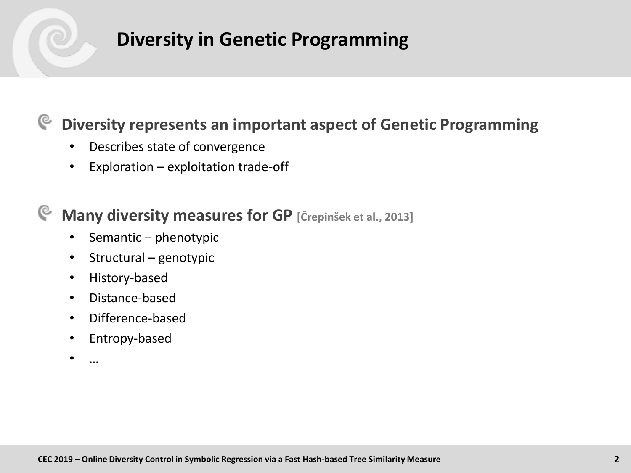# **Diversity in Genetic Programming**

#### **Diversity represents an important aspect of Genetic Programming**  $\mathbb{C}$

- Describes state of convergence
- Exploration exploitation trade-off

#### **Many diversity measures for GP [Črepinšek et al., 2013]** G

- Semantic phenotypic
- Structural genotypic
- History-based
- Distance-based
- Difference-based
- Entropy-based
- …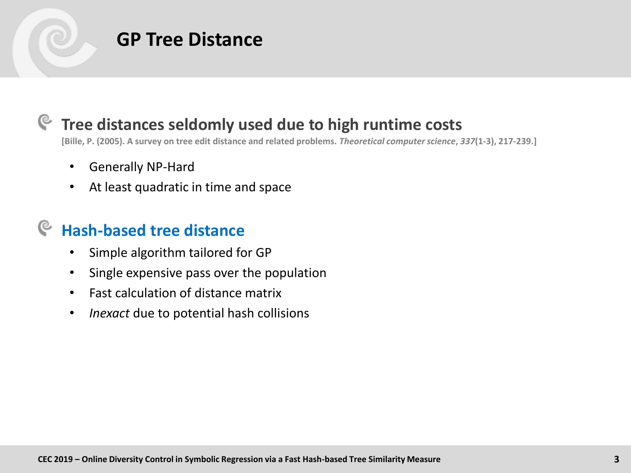

## **Tree distances seldomly used due to high runtime costs**

**[Bille, P. (2005). A survey on tree edit distance and related problems.** *Theoretical computer science***,** *337***(1-3), 217-239.]**

- Generally NP-Hard
- At least quadratic in time and space

## **Hash-based tree distance**

- Simple algorithm tailored for GP
- Single expensive pass over the population
- Fast calculation of distance matrix
- *Inexact* due to potential hash collisions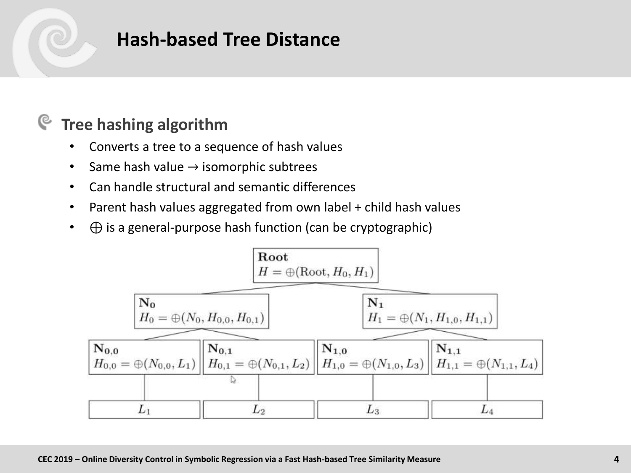## **Hash-based Tree Distance**

#### **Tree hashing algorithm** G

- Converts a tree to a sequence of hash values
- Same hash value  $\rightarrow$  isomorphic subtrees
- Can handle structural and semantic differences
- Parent hash values aggregated from own label + child hash values
- $\bullet$   $\oplus$  is a general-purpose hash function (can be cryptographic)

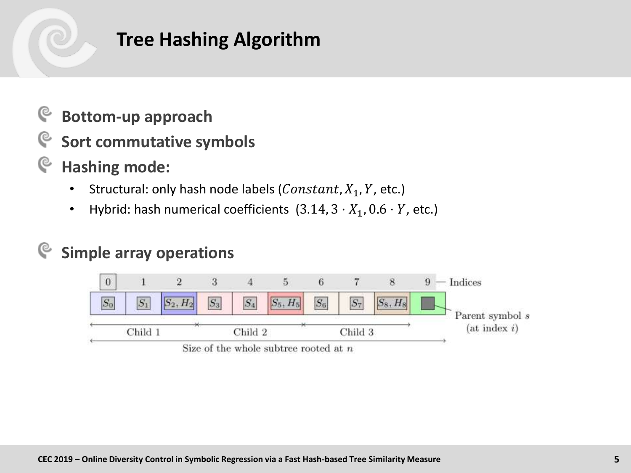# **Tree Hashing Algorithm**

- **Bottom-up approach** G
- G **Sort commutative symbols**
- G **Hashing mode:**
	- Structural: only hash node labels (*Constant*,  $X_1$ ,  $Y$ , etc.)
	- Hybrid: hash numerical coefficients  $(3.14, 3 \cdot X_1, 0.6 \cdot Y,$  etc.)

#### **Simple array operations**୯

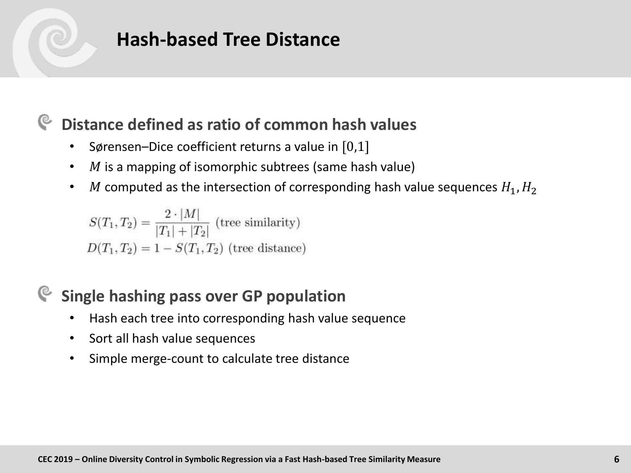## **Hash-based Tree Distance**

## **Distance defined as ratio of common hash values**

- Sørensen–Dice coefficient returns a value in  $[0,1]$
- $M$  is a mapping of isomorphic subtrees (same hash value)
- M computed as the intersection of corresponding hash value sequences  $H_1, H_2$

$$
S(T_1, T_2) = \frac{2 \cdot |M|}{|T_1| + |T_2|}
$$
 (tree similarity)  

$$
D(T_1, T_2) = 1 - S(T_1, T_2)
$$
 (tree distance)

## **Single hashing pass over GP population**

- Hash each tree into corresponding hash value sequence
- Sort all hash value sequences
- Simple merge-count to calculate tree distance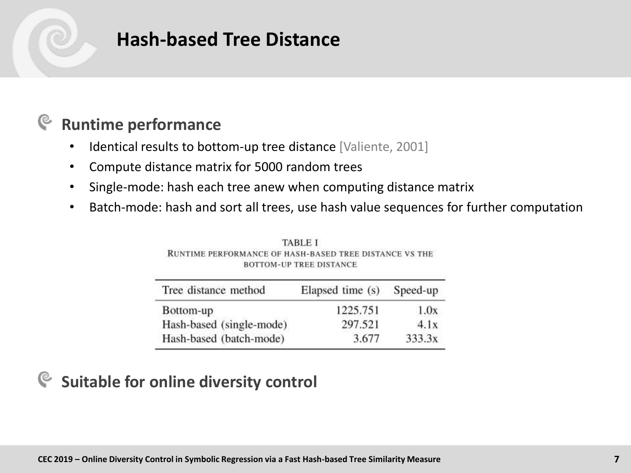## **Hash-based Tree Distance**

#### **Runtime performance** ্ত

- Identical results to bottom-up tree distance [Valiente, 2001]
- Compute distance matrix for 5000 random trees
- Single-mode: hash each tree anew when computing distance matrix
- Batch-mode: hash and sort all trees, use hash value sequences for further computation

| Tree distance method     | Elapsed time (s) | Speed-up |  |  |
|--------------------------|------------------|----------|--|--|
| Bottom-up                | 1225.751         | 1.0x     |  |  |
| Hash-based (single-mode) | 297.521          | 4.1x     |  |  |
| Hash-based (batch-mode)  | 3.677            | 333.3x   |  |  |

**TABLE I** RUNTIME PERFORMANCE OF HASH-BASED TREE DISTANCE VS THE **BOTTOM-UP TREE DISTANCE** 

### **Suitable for online diversity control**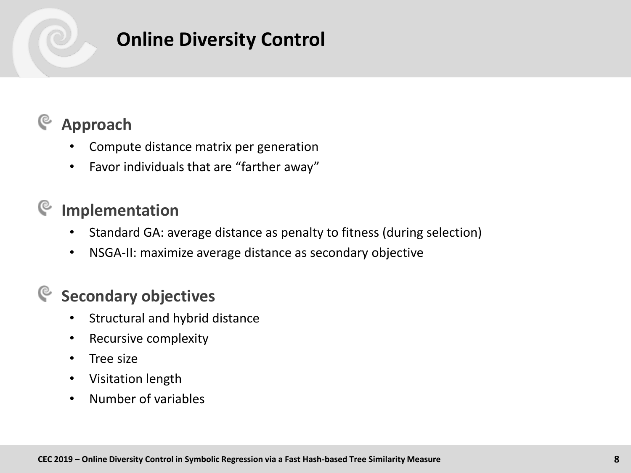# **Online Diversity Control**

#### **Approach** G

- Compute distance matrix per generation
- Favor individuals that are "farther away"

## **Implementation**

- Standard GA: average distance as penalty to fitness (during selection)
- NSGA-II: maximize average distance as secondary objective

## **Secondary objectives**

- Structural and hybrid distance
- Recursive complexity
- Tree size
- Visitation length
- Number of variables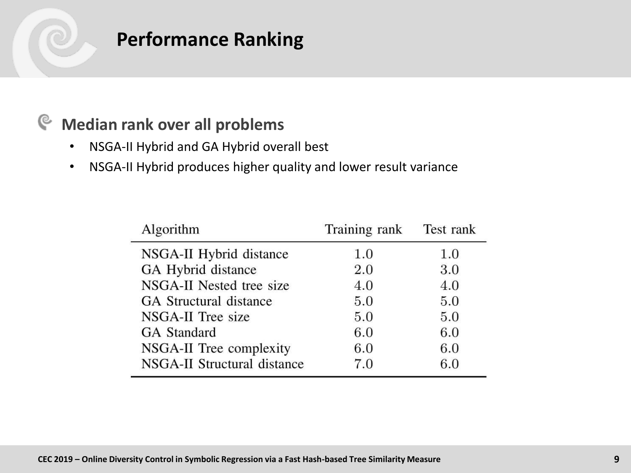# **Performance Ranking**

#### **Median rank over all problems**  $\mathbf{e}$

- NSGA-II Hybrid and GA Hybrid overall best
- NSGA-II Hybrid produces higher quality and lower result variance

| Algorithm                     | Training rank | Test rank |  |  |  |
|-------------------------------|---------------|-----------|--|--|--|
| NSGA-II Hybrid distance       | 1.0           | 1.0       |  |  |  |
| GA Hybrid distance            | 2.0           | 3.0       |  |  |  |
| NSGA-II Nested tree size      | 4.0           | 4.0       |  |  |  |
| <b>GA</b> Structural distance | 5.0           | 5.0       |  |  |  |
| NSGA-II Tree size             | 5.0           | 5.0       |  |  |  |
| <b>GA</b> Standard            | 6.0           | 6.0       |  |  |  |
| NSGA-II Tree complexity       | 6.0           | 6.0       |  |  |  |
| NSGA-II Structural distance   | 7.0           | 6.0       |  |  |  |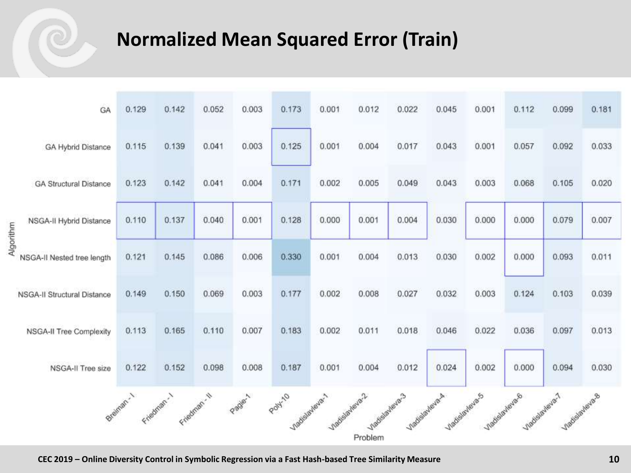# **Normalized Mean Squared Error (Train)**

|           | GA                                 | 0.129      | 0.142       | 0.052        | 0.003 | 0.173                     | 0.001           | 0.012   | 0.022                           | 0.045        | 0.001 | 0.112          | 0.099                            | 0.181 |
|-----------|------------------------------------|------------|-------------|--------------|-------|---------------------------|-----------------|---------|---------------------------------|--------------|-------|----------------|----------------------------------|-------|
|           | GA Hybrid Distance                 | 0.115      | 0.139       | 0.041        | 0.003 | 0.125                     | 0.001           | 0.004   | 0.017                           | 0.043        | 0.001 | 0.057          | 0.092                            | 0.033 |
|           | <b>GA Structural Distance</b>      | 0.123      | 0.142       | 0.041        | 0.004 | 0.171                     | 0.002           | 0.005   | 0.049                           | 0.043        | 0.003 | 0.068          | 0.105                            | 0.020 |
| Algorithm | NSGA-II Hybrid Distance            | 0.110      | 0.137       | 0.040        | 0.001 | 0.128                     | 0.000           | 0.001   | 0.004                           | 0.030        | 0.000 | 0.000          | 0.079                            | 0.007 |
|           | NSGA-II Nested tree length         | 0.121      | 0.145       | 0.086        | 0.006 | 0.330                     | 0.001           | 0.004   | 0.013                           | 0.030        | 0.002 | 0.000          | 0.093                            | 0.011 |
|           | <b>NSGA-II Structural Distance</b> | 0.149      | 0.150       | 0.069        | 0.003 | 0.177                     | 0.002           | 0.008   | 0.027                           | 0.032        | 0.003 | 0.124          | 0.103                            | 0.039 |
|           | <b>NSGA-II Tree Complexity</b>     | 0.113      | 0.165       | 0.110        | 0.007 | 0.183                     | 0.002           | 0.011   | 0.018                           | 0.046        | 0.022 | 0.036          | 0.097                            | 0.013 |
|           | NSGA-II Tree size                  | 0.122      | 0.152       | 0.098        | 0.008 | 0.187                     | 0.001           | 0.004   | 0.012                           | 0.024        | 0.002 | 0.000          | 0.094                            | 0.030 |
|           |                                    | ereinen. 1 | rigation. 1 | Friedman, II | Page1 | Polyzio<br>/hadslayarever | Vladislavieva 2 |         | Madislavera-3<br>/ladislayera.A | Madislaveras |       | nadislaviava 6 | Viadislavava-1<br>nadislavlava.s |       |
|           |                                    |            |             |              |       |                           |                 | Problem |                                 |              |       |                |                                  |       |

**CEC 2019 – Online Diversity Control in Symbolic Regression via a Fast Hash-based Tree Similarity Measure 10**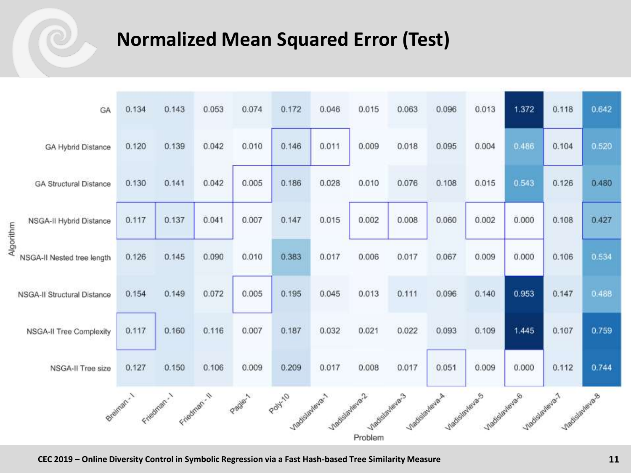# **Normalized Mean Squared Error (Test)**

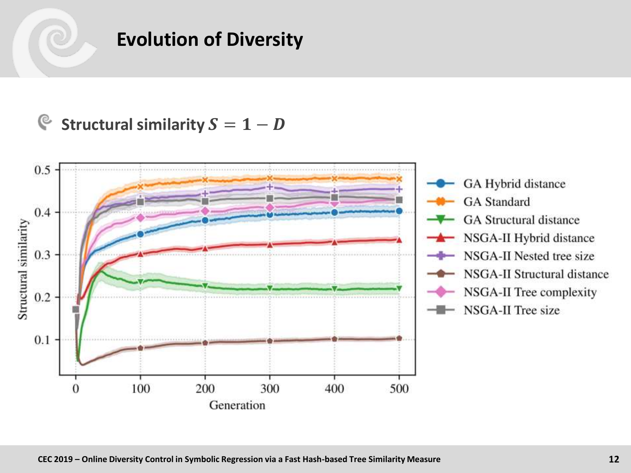## **Evolution of Diversity**

## **Structural similarity**  $S = 1 - D$

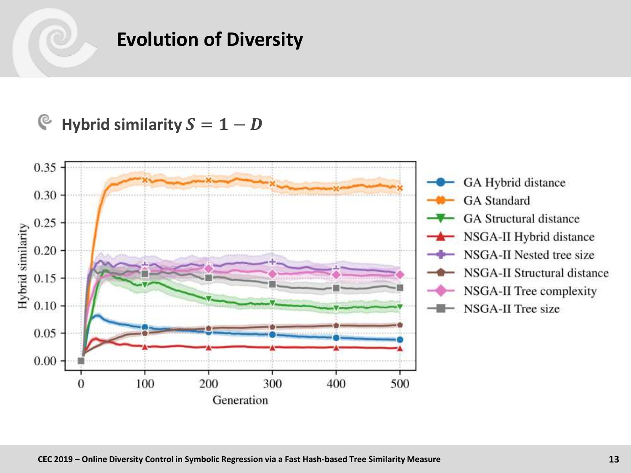# **Evolution of Diversity**

#### G **Hybrid similarity**  $S = 1 - D$

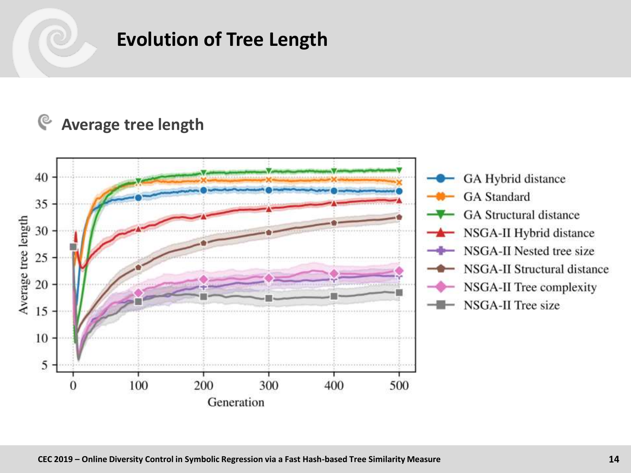# **Evolution of Tree Length**

#### G **Average tree length**

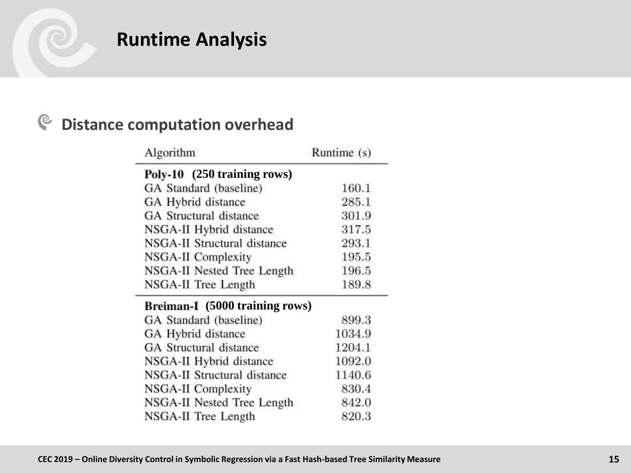# **Runtime Analysis**

#### $\mathbf{e}$ **Distance computation overhead**

 $\overline{\phantom{a}}$ 

| Algorithm                      | Runtime (s) |
|--------------------------------|-------------|
| Poly-10 (250 training rows)    |             |
| GA Standard (baseline)         | 160.1       |
| GA Hybrid distance             | 285.1       |
| <b>GA</b> Structural distance  | 301.9       |
| NSGA-II Hybrid distance        | 317.5       |
| NSGA-II Structural distance    | 293.1       |
| NSGA-II Complexity             | 195.5       |
| NSGA-II Nested Tree Length     | 196.5       |
| NSGA-II Tree Length            | 189.8       |
| Breiman-I (5000 training rows) |             |
| GA Standard (baseline)         | 899.3       |
| GA Hybrid distance             | 1034.9      |
| GA Structural distance         | 1204.1      |
| NSGA-II Hybrid distance        | 1092.0      |
| NSGA-II Structural distance    | 1140.6      |
| NSGA-II Complexity             | 830.4       |
| NSGA-II Nested Tree Length     | 842.0       |
| NSGA-II Tree Length            | 820.3       |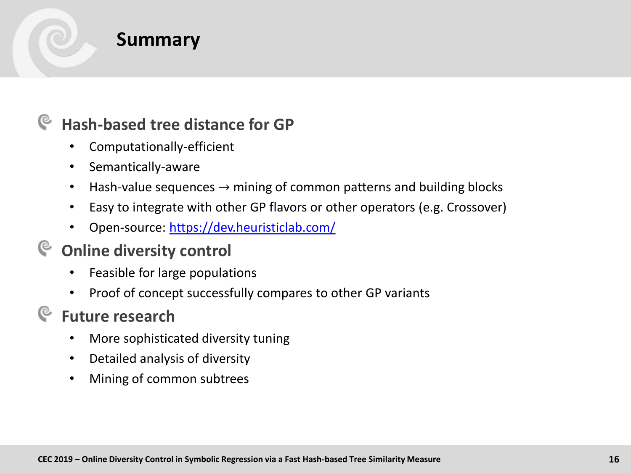

## **Summary**

## **Hash-based tree distance for GP**

- Computationally-efficient
- Semantically-aware
- Hash-value sequences  $\rightarrow$  mining of common patterns and building blocks
- Easy to integrate with other GP flavors or other operators (e.g. Crossover)
- Open-source: <https://dev.heuristiclab.com/>

## **Online diversity control**

- Feasible for large populations
- Proof of concept successfully compares to other GP variants

## **Future research**

- More sophisticated diversity tuning
- Detailed analysis of diversity
- Mining of common subtrees